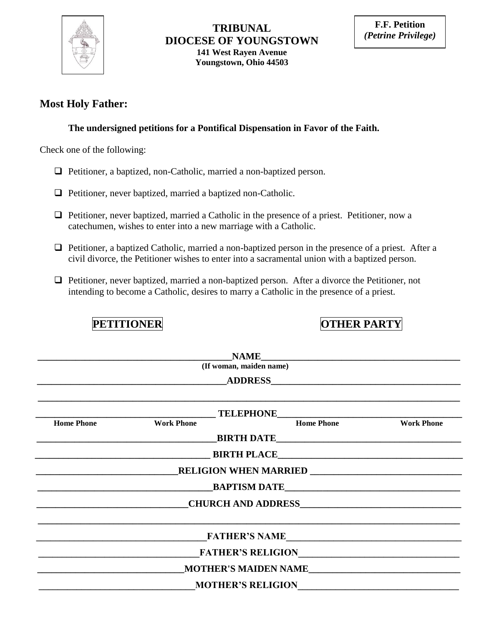

### **TRIBUNAL DIOCESE OF YOUNGSTOWN 141 West Rayen Avenue Youngstown, Ohio 44503**

### **Most Holy Father:**

### **The undersigned petitions for a Pontifical Dispensation in Favor of the Faith.**

Check one of the following:

- Petitioner, a baptized, non-Catholic, married a non-baptized person.
- $\Box$  Petitioner, never baptized, married a baptized non-Catholic.
- $\Box$  Petitioner, never baptized, married a Catholic in the presence of a priest. Petitioner, now a catechumen, wishes to enter into a new marriage with a Catholic.
- Petitioner, a baptized Catholic, married a non-baptized person in the presence of a priest. After a civil divorce, the Petitioner wishes to enter into a sacramental union with a baptized person.

**PETITIONER OTHER PARTY** 

 Petitioner, never baptized, married a non-baptized person. After a divorce the Petitioner, not intending to become a Catholic, desires to marry a Catholic in the presence of a priest.

|                   | (If woman, maiden name) |                                                                                                                |                                                                                                                      |
|-------------------|-------------------------|----------------------------------------------------------------------------------------------------------------|----------------------------------------------------------------------------------------------------------------------|
|                   |                         | ADDRESS AND AND ALL AND ASSESS AND A RESIDENCE AND A RESIDENCE AND A RESIDENCE AND A RESIDENCE AND A RESIDENCE |                                                                                                                      |
|                   |                         |                                                                                                                |                                                                                                                      |
| <b>Home Phone</b> | <b>Work Phone</b>       |                                                                                                                | Home Phone <b>Work Phone</b>                                                                                         |
|                   |                         |                                                                                                                |                                                                                                                      |
|                   |                         | <b>EXAMPLACE BIRTH PLACE</b>                                                                                   |                                                                                                                      |
|                   |                         |                                                                                                                |                                                                                                                      |
|                   |                         |                                                                                                                |                                                                                                                      |
|                   |                         | <b>CHURCH AND ADDRESS</b>                                                                                      |                                                                                                                      |
|                   |                         | <b>FATHER'S NAME</b>                                                                                           |                                                                                                                      |
|                   |                         | <b>FATHER'S RELIGION</b>                                                                                       |                                                                                                                      |
|                   |                         |                                                                                                                |                                                                                                                      |
|                   |                         | <b>MOTHER'S RELIGION</b>                                                                                       | <u> 1980 - Jan Samuel Barbara, martin da shekara 1980 - An tsa a tsa a tsa a tsa a tsa a tsa a tsa a tsa a tsa a</u> |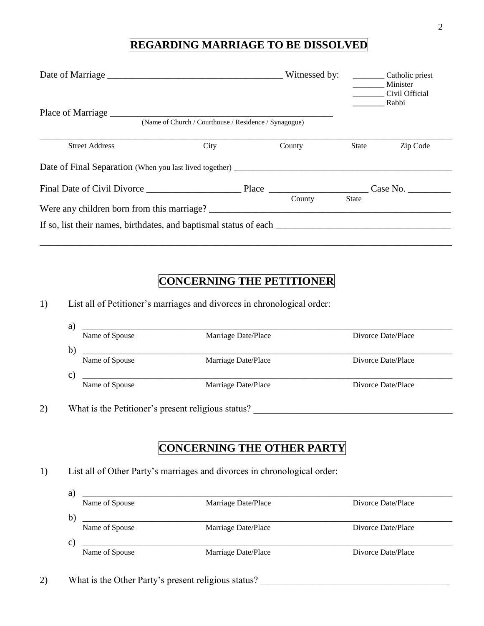## **REGARDING MARRIAGE TO BE DISSOLVED**

|                                                         |                                                       |        |              | Minister<br>Civil Official<br><b>Rabbi</b> |
|---------------------------------------------------------|-------------------------------------------------------|--------|--------------|--------------------------------------------|
|                                                         | (Name of Church / Courthouse / Residence / Synagogue) |        |              |                                            |
| <b>Street Address</b>                                   | City                                                  | County | State        | Zip Code                                   |
| Date of Final Separation (When you last lived together) |                                                       |        |              |                                            |
|                                                         |                                                       |        | Case No.     |                                            |
| Were any children born from this marriage?              |                                                       | County | <b>State</b> |                                            |
|                                                         |                                                       |        |              |                                            |

# **CONCERNING THE PETITIONER**

1) List all of Petitioner's marriages and divorces in chronological order:

| Name of Spouse                                           | Marriage Date/Place                                                      | Divorce Date/Place |
|----------------------------------------------------------|--------------------------------------------------------------------------|--------------------|
| b)                                                       |                                                                          |                    |
| Name of Spouse                                           | Marriage Date/Place                                                      | Divorce Date/Place |
| $\mathbf{c})$                                            |                                                                          |                    |
| Name of Spouse                                           | Marriage Date/Place                                                      | Divorce Date/Place |
|                                                          |                                                                          |                    |
|                                                          |                                                                          |                    |
|                                                          | <b>CONCERNING THE OTHER PARTY</b>                                        |                    |
|                                                          |                                                                          |                    |
|                                                          | List all of Other Party's marriages and divorces in chronological order: |                    |
|                                                          |                                                                          |                    |
| What is the Petitioner's present religious status?<br>a) |                                                                          |                    |

|              | THERE OF DEOWNE | $H$ and $C$ $D$ and $T$ and $C$ | <b>DIVOLUT DUIT LUCT</b> |
|--------------|-----------------|---------------------------------|--------------------------|
| b            |                 |                                 |                          |
|              | Name of Spouse  | Marriage Date/Place             | Divorce Date/Place       |
| $\mathbf{C}$ |                 |                                 |                          |
|              | Name of Spouse  | Marriage Date/Place             | Divorce Date/Place       |

2) What is the Other Party's present religious status?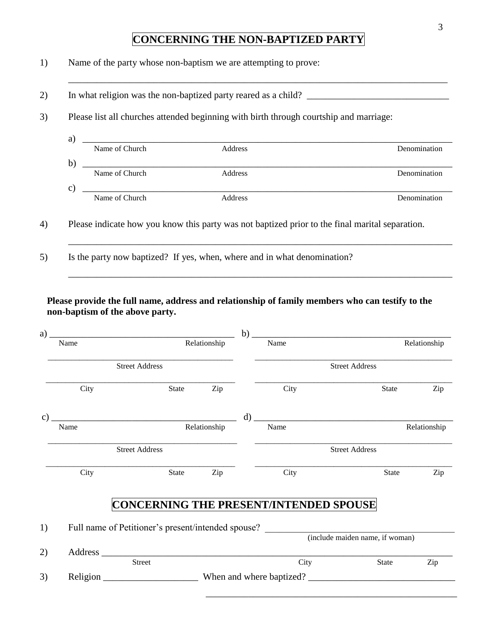## **CONCERNING THE NON-BAPTIZED PARTY**

\_\_\_\_\_\_\_\_\_\_\_\_\_\_\_\_\_\_\_\_\_\_\_\_\_\_\_\_\_\_\_\_\_\_\_\_\_\_\_\_\_\_\_\_\_\_\_\_\_\_\_\_\_\_\_\_\_\_\_\_\_\_\_\_\_\_\_\_\_\_\_\_\_\_\_\_\_\_\_\_

1) Name of the party whose non-baptism we are attempting to prove:

2) In what religion was the non-baptized party reared as a child? \_\_\_\_\_\_\_\_\_\_\_\_\_\_\_\_\_\_\_\_\_\_\_\_\_\_\_\_\_\_

3) Please list all churches attended beginning with birth through courtship and marriage:

a) \_\_\_\_\_\_\_\_\_\_\_\_\_\_\_\_\_\_\_\_\_\_\_\_\_\_\_\_\_\_\_\_\_\_\_\_\_\_\_\_\_\_\_\_\_\_\_\_\_\_\_\_\_\_\_\_\_\_\_\_\_\_\_\_\_\_\_\_\_\_\_\_\_\_\_\_\_\_ Name of Church Address Denomination b) \_\_\_\_\_\_\_\_\_\_\_\_\_\_\_\_\_\_\_\_\_\_\_\_\_\_\_\_\_\_\_\_\_\_\_\_\_\_\_\_\_\_\_\_\_\_\_\_\_\_\_\_\_\_\_\_\_\_\_\_\_\_\_\_\_\_\_\_\_\_\_\_\_\_\_\_\_\_ Name of Church Address Address Denomination  $c)$   $\overline{\phantom{a}}$   $\overline{\phantom{a}}$   $\overline{\phantom{a}}$   $\overline{\phantom{a}}$   $\overline{\phantom{a}}$   $\overline{\phantom{a}}$   $\overline{\phantom{a}}$   $\overline{\phantom{a}}$   $\overline{\phantom{a}}$   $\overline{\phantom{a}}$   $\overline{\phantom{a}}$   $\overline{\phantom{a}}$   $\overline{\phantom{a}}$   $\overline{\phantom{a}}$   $\overline{\phantom{a}}$   $\overline{\phantom{a}}$   $\overline{\phantom{a}}$   $\overline{\phantom{a}}$  Name of Church Address Address Denomination

\_\_\_\_\_\_\_\_\_\_\_\_\_\_\_\_\_\_\_\_\_\_\_\_\_\_\_\_\_\_\_\_\_\_\_\_\_\_\_\_\_\_\_\_\_\_\_\_\_\_\_\_\_\_\_\_\_\_\_\_\_\_\_\_\_\_\_\_\_\_\_\_\_\_\_\_\_\_\_\_\_

\_\_\_\_\_\_\_\_\_\_\_\_\_\_\_\_\_\_\_\_\_\_\_\_\_\_\_\_\_\_\_\_\_\_\_\_\_\_\_\_\_\_\_\_\_\_\_\_\_\_\_\_\_\_\_\_\_\_\_\_\_\_\_\_\_\_\_\_\_\_\_\_\_\_\_\_\_\_\_\_\_

- 4) Please indicate how you know this party was not baptized prior to the final marital separation.
- 5) Is the party now baptized? If yes, when, where and in what denomination?

#### **Please provide the full name, address and relationship of family members who can testify to the non-baptism of the above party.**

| a)              |                       | <u> 2000 - Jan James James Barbara, martxa a shekara 1980 - Andrew Samuel Barbara (h. 1982).</u> |              | b)      |                                                                                    | the control of the control of the control of the control of the control of the control of |              |  |
|-----------------|-----------------------|--------------------------------------------------------------------------------------------------|--------------|---------|------------------------------------------------------------------------------------|-------------------------------------------------------------------------------------------|--------------|--|
|                 | Name                  |                                                                                                  | Relationship |         | Name                                                                               |                                                                                           | Relationship |  |
|                 | <b>Street Address</b> |                                                                                                  |              |         | <b>Street Address</b>                                                              |                                                                                           |              |  |
|                 | City                  | State                                                                                            | Zip          |         | City                                                                               | <b>State</b>                                                                              | Zip          |  |
| $\mathcal{C}$ ) |                       | Relationship                                                                                     |              | $\rm d$ |                                                                                    |                                                                                           |              |  |
|                 | Name                  |                                                                                                  |              |         | Name                                                                               |                                                                                           | Relationship |  |
|                 | <b>Street Address</b> |                                                                                                  |              |         | <b>Street Address</b>                                                              |                                                                                           |              |  |
|                 | City                  | State                                                                                            | Zip          |         | City                                                                               | State                                                                                     | Zip          |  |
|                 |                       |                                                                                                  |              |         | <b>CONCERNING THE PRESENT/INTENDED SPOUSE</b>                                      |                                                                                           |              |  |
| 1)              |                       |                                                                                                  |              |         | Full name of Petitioner's present/intended spouse? (include maiden name, if woman) |                                                                                           |              |  |
|                 |                       |                                                                                                  |              |         |                                                                                    |                                                                                           |              |  |
| 2)              |                       | <b>Street</b>                                                                                    |              |         | City                                                                               | State                                                                                     | Zip          |  |
|                 |                       |                                                                                                  |              |         |                                                                                    |                                                                                           |              |  |